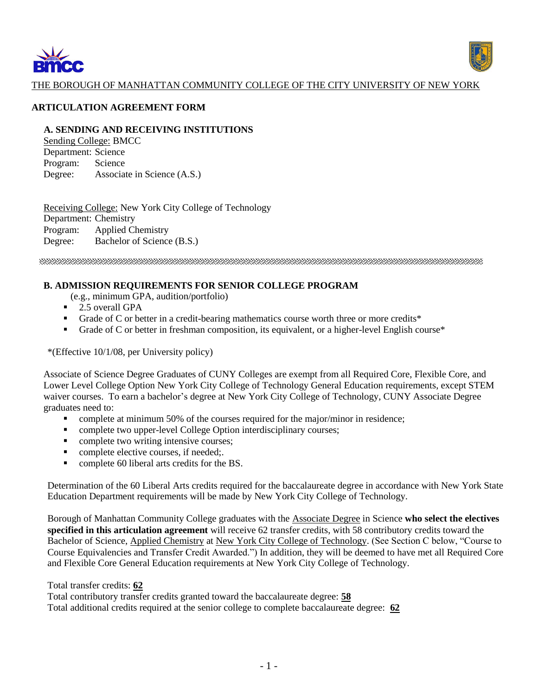



### THE BOROUGH OF MANHATTAN COMMUNITY COLLEGE OF THE CITY UNIVERSITY OF NEW YORK

#### **ARTICULATION AGREEMENT FORM**

#### **A. SENDING AND RECEIVING INSTITUTIONS**

Sending College: BMCC Department: Science Program: Science Degree: Associate in Science (A.S.)

Receiving College: New York City College of Technology Department: Chemistry Program: Applied Chemistry Degree: Bachelor of Science (B.S.)

### **B. ADMISSION REQUIREMENTS FOR SENIOR COLLEGE PROGRAM**

(e.g., minimum GPA, audition/portfolio)

- 2.5 overall GPA
- Grade of C or better in a credit-bearing mathematics course worth three or more credits\*
- Grade of C or better in freshman composition, its equivalent, or a higher-level English course\*

\*(Effective 10/1/08, per University policy)

Associate of Science Degree Graduates of CUNY Colleges are exempt from all Required Core, Flexible Core, and Lower Level College Option New York City College of Technology General Education requirements, except STEM waiver courses. To earn a bachelor's degree at New York City College of Technology, CUNY Associate Degree graduates need to:

- complete at minimum 50% of the courses required for the major/minor in residence;
- complete two upper-level College Option interdisciplinary courses;
- complete two writing intensive courses;
- complete elective courses, if needed;
- complete 60 liberal arts credits for the BS.

Determination of the 60 Liberal Arts credits required for the baccalaureate degree in accordance with New York State Education Department requirements will be made by New York City College of Technology.

Borough of Manhattan Community College graduates with the Associate Degree in Science **who select the electives specified in this articulation agreement** will receive 62 transfer credits, with 58 contributory credits toward the Bachelor of Science, Applied Chemistry at New York City College of Technology. (See Section C below, "Course to Course Equivalencies and Transfer Credit Awarded.") In addition, they will be deemed to have met all Required Core and Flexible Core General Education requirements at New York City College of Technology.

Total transfer credits: **62**

Total contributory transfer credits granted toward the baccalaureate degree: **58**

Total additional credits required at the senior college to complete baccalaureate degree: **62**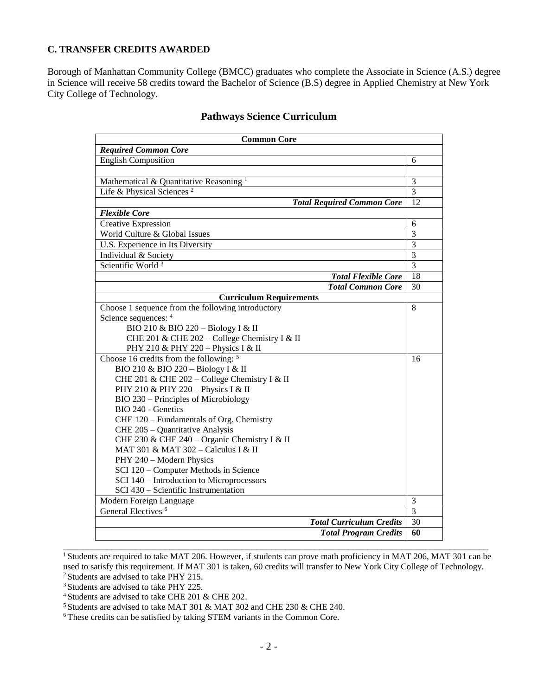### **C. TRANSFER CREDITS AWARDED**

Borough of Manhattan Community College (BMCC) graduates who complete the Associate in Science (A.S.) degree in Science will receive 58 credits toward the Bachelor of Science (B.S) degree in Applied Chemistry at New York City College of Technology.

| <b>Common Core</b>                                                              |                |  |  |
|---------------------------------------------------------------------------------|----------------|--|--|
| <b>Required Common Core</b>                                                     |                |  |  |
| <b>English Composition</b>                                                      | 6              |  |  |
|                                                                                 |                |  |  |
| Mathematical & Quantitative Reasoning <sup>1</sup>                              | 3              |  |  |
| Life & Physical Sciences <sup>2</sup>                                           | $\overline{3}$ |  |  |
| <b>Total Required Common Core</b>                                               | 12             |  |  |
| <b>Flexible Core</b>                                                            |                |  |  |
| <b>Creative Expression</b>                                                      | 6              |  |  |
| World Culture & Global Issues                                                   | $\overline{3}$ |  |  |
| U.S. Experience in Its Diversity                                                | $\overline{3}$ |  |  |
| Individual & Society                                                            | $\overline{3}$ |  |  |
| Scientific World <sup>3</sup>                                                   | 3              |  |  |
| <b>Total Flexible Core</b>                                                      | 18             |  |  |
| <b>Total Common Core</b>                                                        | 30             |  |  |
| <b>Curriculum Requirements</b>                                                  |                |  |  |
| Choose 1 sequence from the following introductory                               | 8              |  |  |
| Science sequences: 4                                                            |                |  |  |
| BIO 210 & BIO 220 - Biology I & II                                              |                |  |  |
| CHE 201 & CHE 202 - College Chemistry I & II                                    |                |  |  |
| PHY 210 & PHY 220 - Physics I & II                                              |                |  |  |
| Choose 16 credits from the following: $5$                                       | 16             |  |  |
| BIO 210 & BIO 220 - Biology I & II                                              |                |  |  |
| CHE 201 & CHE 202 - College Chemistry I & II                                    |                |  |  |
| PHY 210 & PHY 220 - Physics I & II                                              |                |  |  |
| BIO 230 – Principles of Microbiology                                            |                |  |  |
| BIO 240 - Genetics                                                              |                |  |  |
| CHE 120 - Fundamentals of Org. Chemistry                                        |                |  |  |
| CHE 205 - Quantitative Analysis<br>CHE 230 & CHE 240 – Organic Chemistry I & II |                |  |  |
| MAT 301 & MAT 302 - Calculus I & II                                             |                |  |  |
| PHY 240 - Modern Physics                                                        |                |  |  |
| SCI 120 - Computer Methods in Science                                           |                |  |  |
| SCI 140 - Introduction to Microprocessors                                       |                |  |  |
| SCI 430 - Scientific Instrumentation                                            |                |  |  |
| Modern Foreign Language                                                         | 3              |  |  |
| General Electives <sup>6</sup>                                                  | 3              |  |  |
| <b>Total Curriculum Credits</b>                                                 | 30             |  |  |
| <b>Total Program Credits</b>                                                    | 60             |  |  |

## **Pathways Science Curriculum**

\_\_\_\_\_\_\_\_\_\_\_\_\_\_\_\_\_\_\_\_\_\_\_\_\_\_\_\_\_\_\_\_\_\_\_\_\_\_\_\_\_\_\_\_\_\_\_\_\_\_\_\_\_\_\_\_\_\_\_\_\_\_\_\_\_\_\_\_\_\_\_\_\_\_\_\_\_\_\_\_\_\_\_\_\_\_\_\_

<sup>&</sup>lt;sup>1</sup> Students are required to take MAT 206. However, if students can prove math proficiency in MAT 206, MAT 301 can be used to satisfy this requirement. If MAT 301 is taken, 60 credits will transfer to New York City College of Technology. <sup>2</sup> Students are advised to take PHY 215.

<sup>&</sup>lt;sup>3</sup> Students are advised to take PHY 225.

<sup>4</sup>Students are advised to take CHE 201 & CHE 202.

<sup>&</sup>lt;sup>5</sup> Students are advised to take MAT 301 & MAT 302 and CHE 230 & CHE 240.

<sup>6</sup> These credits can be satisfied by taking STEM variants in the Common Core.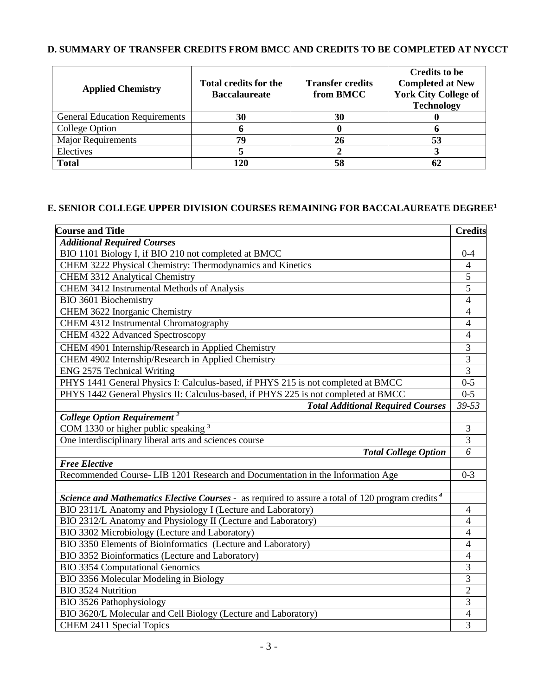# **D. SUMMARY OF TRANSFER CREDITS FROM BMCC AND CREDITS TO BE COMPLETED AT NYCCT**

| <b>Applied Chemistry</b>              | <b>Total credits for the</b><br><b>Baccalaureate</b> | <b>Transfer credits</b><br>from BMCC | <b>Credits to be</b><br><b>Completed at New</b><br><b>York City College of</b><br><b>Technology</b> |
|---------------------------------------|------------------------------------------------------|--------------------------------------|-----------------------------------------------------------------------------------------------------|
| <b>General Education Requirements</b> | 30                                                   | 30                                   |                                                                                                     |
| College Option                        | п                                                    |                                      |                                                                                                     |
| <b>Major Requirements</b>             | 79                                                   | 26                                   | 53                                                                                                  |
| Electives                             |                                                      |                                      |                                                                                                     |
| <b>Total</b>                          | 120                                                  |                                      | 62                                                                                                  |

## **E. SENIOR COLLEGE UPPER DIVISION COURSES REMAINING FOR BACCALAUREATE DEGREE<sup>1</sup>**

| <b>Course and Title</b>                                                                                      | <b>Credits</b> |
|--------------------------------------------------------------------------------------------------------------|----------------|
| <b>Additional Required Courses</b>                                                                           |                |
| BIO 1101 Biology I, if BIO 210 not completed at BMCC                                                         | $0 - 4$        |
| CHEM 3222 Physical Chemistry: Thermodynamics and Kinetics                                                    | $\overline{4}$ |
| <b>CHEM 3312 Analytical Chemistry</b>                                                                        | 5              |
| CHEM 3412 Instrumental Methods of Analysis                                                                   | $\overline{5}$ |
| BIO 3601 Biochemistry                                                                                        | $\overline{4}$ |
| CHEM 3622 Inorganic Chemistry                                                                                | 4              |
| CHEM 4312 Instrumental Chromatography                                                                        | 4              |
| CHEM 4322 Advanced Spectroscopy                                                                              | $\overline{4}$ |
| CHEM 4901 Internship/Research in Applied Chemistry                                                           | 3              |
| CHEM 4902 Internship/Research in Applied Chemistry                                                           | $\overline{3}$ |
| ENG 2575 Technical Writing                                                                                   | $\overline{3}$ |
| PHYS 1441 General Physics I: Calculus-based, if PHYS 215 is not completed at BMCC                            | $0 - 5$        |
| PHYS 1442 General Physics II: Calculus-based, if PHYS 225 is not completed at BMCC                           | $0 - 5$        |
| <b>Total Additional Required Courses</b>                                                                     | 39-53          |
| <b>College Option Requirement</b> <sup>2</sup>                                                               |                |
| COM 1330 or higher public speaking $3$                                                                       | $\mathfrak{Z}$ |
| One interdisciplinary liberal arts and sciences course                                                       | 3              |
| <b>Total College Option</b>                                                                                  | 6              |
| <b>Free Elective</b>                                                                                         |                |
| Recommended Course-LIB 1201 Research and Documentation in the Information Age                                | $0 - 3$        |
|                                                                                                              |                |
| Science and Mathematics Elective Courses - as required to assure a total of 120 program credits <sup>4</sup> |                |
| BIO 2311/L Anatomy and Physiology I (Lecture and Laboratory)                                                 | $\overline{4}$ |
| BIO 2312/L Anatomy and Physiology II (Lecture and Laboratory)                                                | 4              |
| BIO 3302 Microbiology (Lecture and Laboratory)                                                               | $\overline{4}$ |
| BIO 3350 Elements of Bioinformatics (Lecture and Laboratory)                                                 | $\overline{4}$ |
| BIO 3352 Bioinformatics (Lecture and Laboratory)                                                             | $\overline{4}$ |
| <b>BIO 3354 Computational Genomics</b>                                                                       | 3              |
| BIO 3356 Molecular Modeling in Biology                                                                       | 3              |
| <b>BIO 3524 Nutrition</b>                                                                                    | $\overline{c}$ |
| <b>BIO 3526 Pathophysiology</b>                                                                              | $\overline{3}$ |
| BIO 3620/L Molecular and Cell Biology (Lecture and Laboratory)                                               | 4              |
| CHEM 2411 Special Topics                                                                                     | 3              |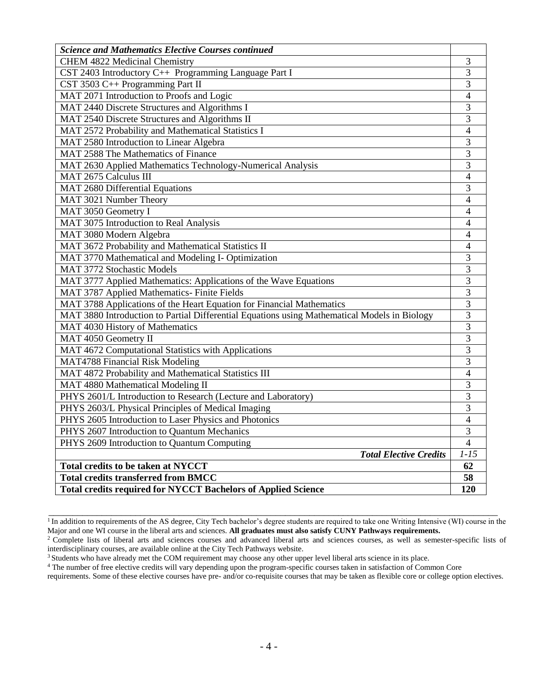| <b>Science and Mathematics Elective Courses continued</b>                                    |                |
|----------------------------------------------------------------------------------------------|----------------|
| <b>CHEM 4822 Medicinal Chemistry</b>                                                         | 3              |
| CST 2403 Introductory C++ Programming Language Part I                                        | 3              |
| CST 3503 C++ Programming Part II                                                             | $\overline{3}$ |
| MAT 2071 Introduction to Proofs and Logic                                                    | $\overline{4}$ |
| MAT 2440 Discrete Structures and Algorithms I                                                | 3              |
| MAT 2540 Discrete Structures and Algorithms II                                               | 3              |
| MAT 2572 Probability and Mathematical Statistics I                                           | 4              |
| MAT 2580 Introduction to Linear Algebra                                                      | 3              |
| MAT 2588 The Mathematics of Finance                                                          | 3              |
| MAT 2630 Applied Mathematics Technology-Numerical Analysis                                   | $\overline{3}$ |
| MAT 2675 Calculus III                                                                        | $\overline{4}$ |
| <b>MAT 2680 Differential Equations</b>                                                       | 3              |
| MAT 3021 Number Theory                                                                       | 4              |
| MAT 3050 Geometry I                                                                          | $\overline{4}$ |
| MAT 3075 Introduction to Real Analysis                                                       | 4              |
| MAT 3080 Modern Algebra                                                                      | 4              |
| MAT 3672 Probability and Mathematical Statistics II                                          | $\overline{4}$ |
| MAT 3770 Mathematical and Modeling I- Optimization                                           | 3              |
| <b>MAT 3772 Stochastic Models</b>                                                            | 3              |
| MAT 3777 Applied Mathematics: Applications of the Wave Equations                             | $\overline{3}$ |
| MAT 3787 Applied Mathematics- Finite Fields                                                  | $\overline{3}$ |
| MAT 3788 Applications of the Heart Equation for Financial Mathematics                        | $\overline{3}$ |
| MAT 3880 Introduction to Partial Differential Equations using Mathematical Models in Biology | $\overline{3}$ |
| MAT 4030 History of Mathematics                                                              | 3              |
| MAT 4050 Geometry II                                                                         | 3              |
| MAT 4672 Computational Statistics with Applications                                          | 3              |
| MAT4788 Financial Risk Modeling                                                              | 3              |
| MAT 4872 Probability and Mathematical Statistics III                                         | $\overline{4}$ |
| MAT 4880 Mathematical Modeling II                                                            | 3              |
| PHYS 2601/L Introduction to Research (Lecture and Laboratory)                                | 3              |
| PHYS 2603/L Physical Principles of Medical Imaging                                           | 3              |
| PHYS 2605 Introduction to Laser Physics and Photonics                                        | $\overline{4}$ |
| PHYS 2607 Introduction to Quantum Mechanics                                                  | 3              |
| PHYS 2609 Introduction to Quantum Computing                                                  | $\overline{4}$ |
| <b>Total Elective Credits</b>                                                                | $1 - 15$       |
| <b>Total credits to be taken at NYCCT</b>                                                    | 62             |
| <b>Total credits transferred from BMCC</b>                                                   | 58             |
| <b>Total credits required for NYCCT Bachelors of Applied Science</b>                         | 120            |

<sup>&</sup>lt;sup>1</sup> In addition to requirements of the AS degree, City Tech bachelor's degree students are required to take one Writing Intensive (WI) course in the Major and one WI course in the liberal arts and sciences. **All graduates must also satisfy CUNY Pathways requirements.** 

 $\overline{\phantom{a}}$  , and the contribution of the contribution of the contribution of the contribution of the contribution of the contribution of the contribution of the contribution of the contribution of the contribution of the

<sup>&</sup>lt;sup>2</sup> Complete lists of liberal arts and sciences courses and advanced liberal arts and sciences courses, as well as semester-specific lists of interdisciplinary courses, are available online at the City Tech Pathways website.

<sup>&</sup>lt;sup>3</sup> Students who have already met the COM requirement may choose any other upper level liberal arts science in its place.

<sup>&</sup>lt;sup>4</sup> The number of free elective credits will vary depending upon the program-specific courses taken in satisfaction of Common Core

requirements. Some of these elective courses have pre- and/or co-requisite courses that may be taken as flexible core or college option electives.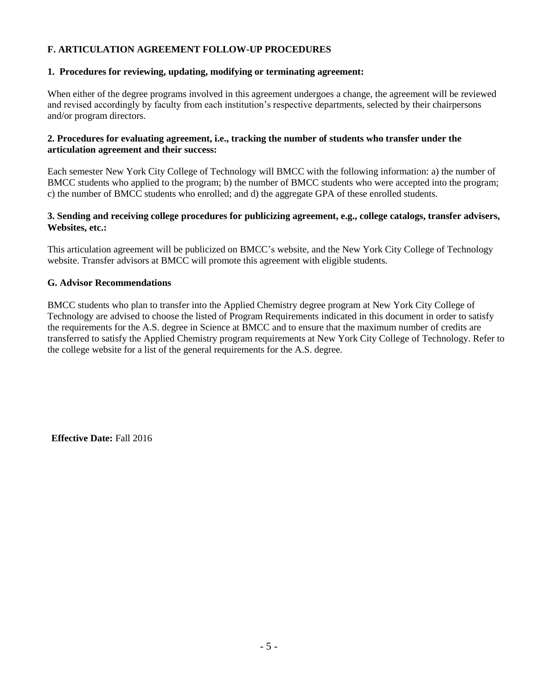### **F. ARTICULATION AGREEMENT FOLLOW-UP PROCEDURES**

### **1. Procedures for reviewing, updating, modifying or terminating agreement:**

When either of the degree programs involved in this agreement undergoes a change, the agreement will be reviewed and revised accordingly by faculty from each institution's respective departments, selected by their chairpersons and/or program directors.

### **2. Procedures for evaluating agreement, i.e., tracking the number of students who transfer under the articulation agreement and their success:**

Each semester New York City College of Technology will BMCC with the following information: a) the number of BMCC students who applied to the program; b) the number of BMCC students who were accepted into the program; c) the number of BMCC students who enrolled; and d) the aggregate GPA of these enrolled students.

### **3. Sending and receiving college procedures for publicizing agreement, e.g., college catalogs, transfer advisers, Websites, etc.:**

This articulation agreement will be publicized on BMCC's website, and the New York City College of Technology website. Transfer advisors at BMCC will promote this agreement with eligible students.

### **G. Advisor Recommendations**

BMCC students who plan to transfer into the Applied Chemistry degree program at New York City College of Technology are advised to choose the listed of Program Requirements indicated in this document in order to satisfy the requirements for the A.S. degree in Science at BMCC and to ensure that the maximum number of credits are transferred to satisfy the Applied Chemistry program requirements at New York City College of Technology. Refer to the college website for a list of the general requirements for the A.S. degree.

**Effective Date:** Fall 2016